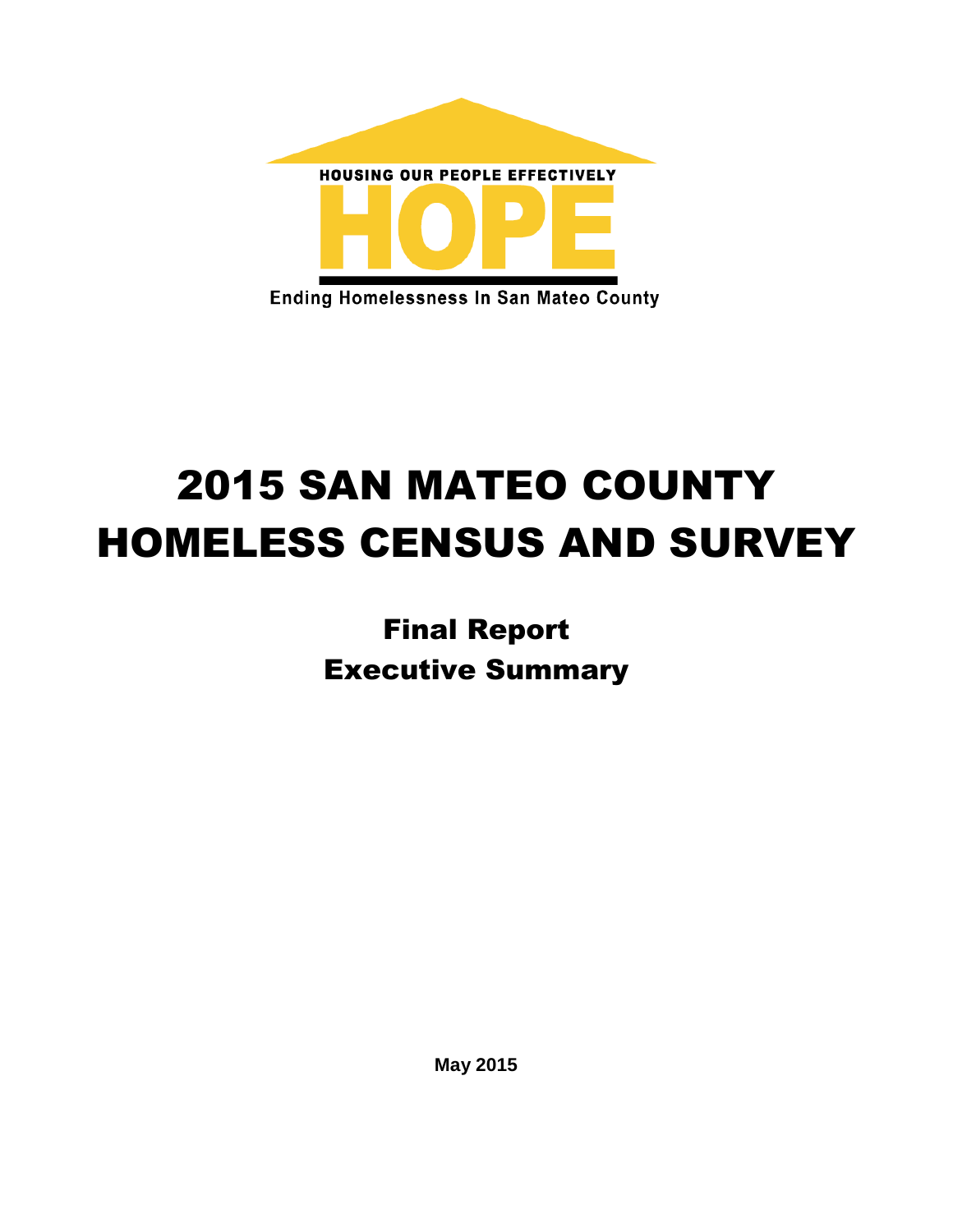

# 2015 SAN MATEO COUNTY HOMELESS CENSUS AND SURVEY

Final Report Executive Summary

**May 2015**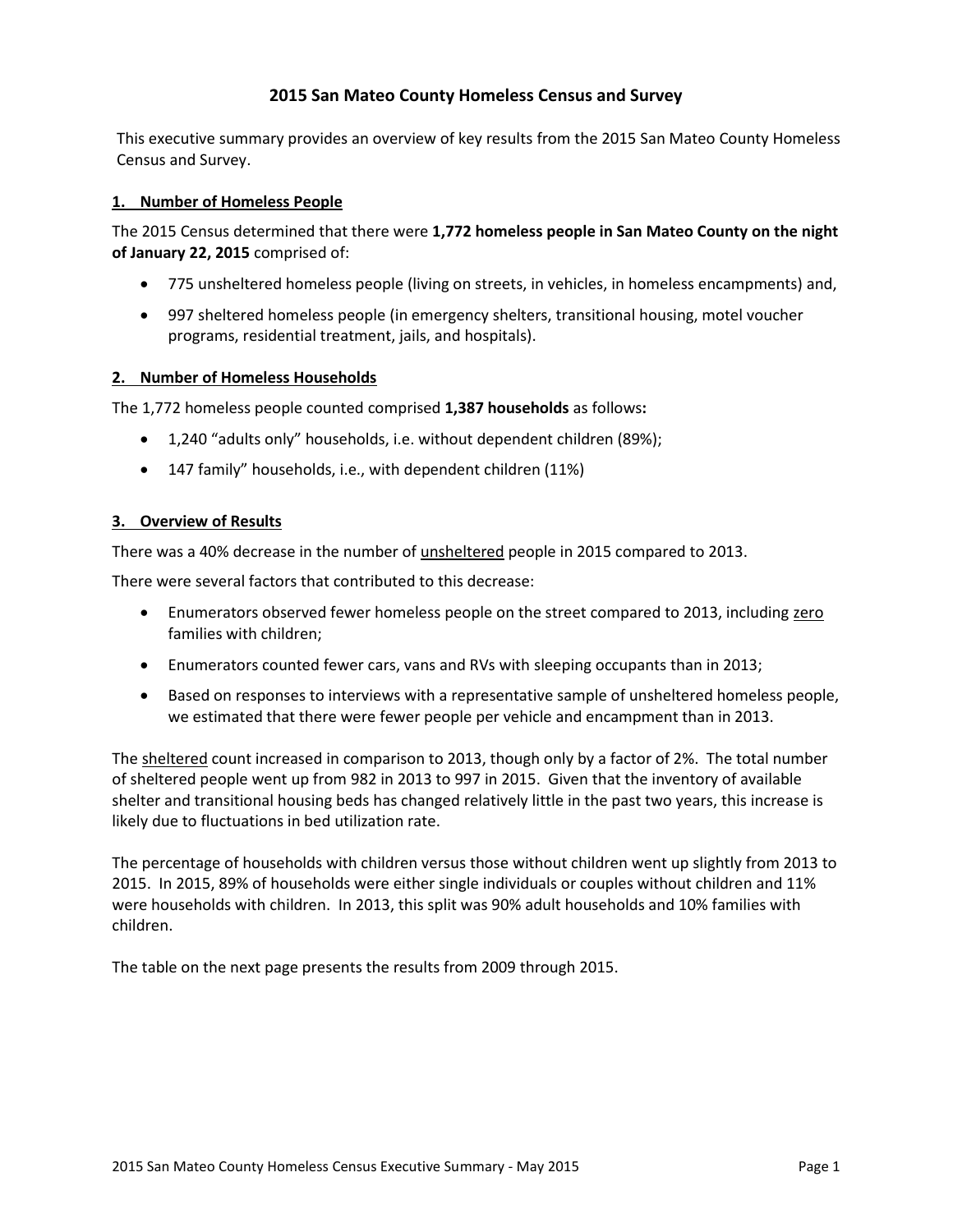## **2015 San Mateo County Homeless Census and Survey**

This executive summary provides an overview of key results from the 2015 San Mateo County Homeless Census and Survey.

### **1. Number of Homeless People**

The 2015 Census determined that there were **1,772 homeless people in San Mateo County on the night of January 22, 2015** comprised of:

- 775 unsheltered homeless people (living on streets, in vehicles, in homeless encampments) and,
- 997 sheltered homeless people (in emergency shelters, transitional housing, motel voucher programs, residential treatment, jails, and hospitals).

#### **2. Number of Homeless Households**

The 1,772 homeless people counted comprised **1,387 households** as follows**:**

- 1,240 "adults only" households, i.e. without dependent children (89%);
- 147 family" households, i.e., with dependent children (11%)

#### **3. Overview of Results**

There was a 40% decrease in the number of unsheltered people in 2015 compared to 2013.

There were several factors that contributed to this decrease:

- Enumerators observed fewer homeless people on the street compared to 2013, including zero families with children;
- Enumerators counted fewer cars, vans and RVs with sleeping occupants than in 2013;
- Based on responses to interviews with a representative sample of unsheltered homeless people, we estimated that there were fewer people per vehicle and encampment than in 2013.

The sheltered count increased in comparison to 2013, though only by a factor of 2%. The total number of sheltered people went up from 982 in 2013 to 997 in 2015. Given that the inventory of available shelter and transitional housing beds has changed relatively little in the past two years, this increase is likely due to fluctuations in bed utilization rate.

The percentage of households with children versus those without children went up slightly from 2013 to 2015. In 2015, 89% of households were either single individuals or couples without children and 11% were households with children. In 2013, this split was 90% adult households and 10% families with children.

The table on the next page presents the results from 2009 through 2015.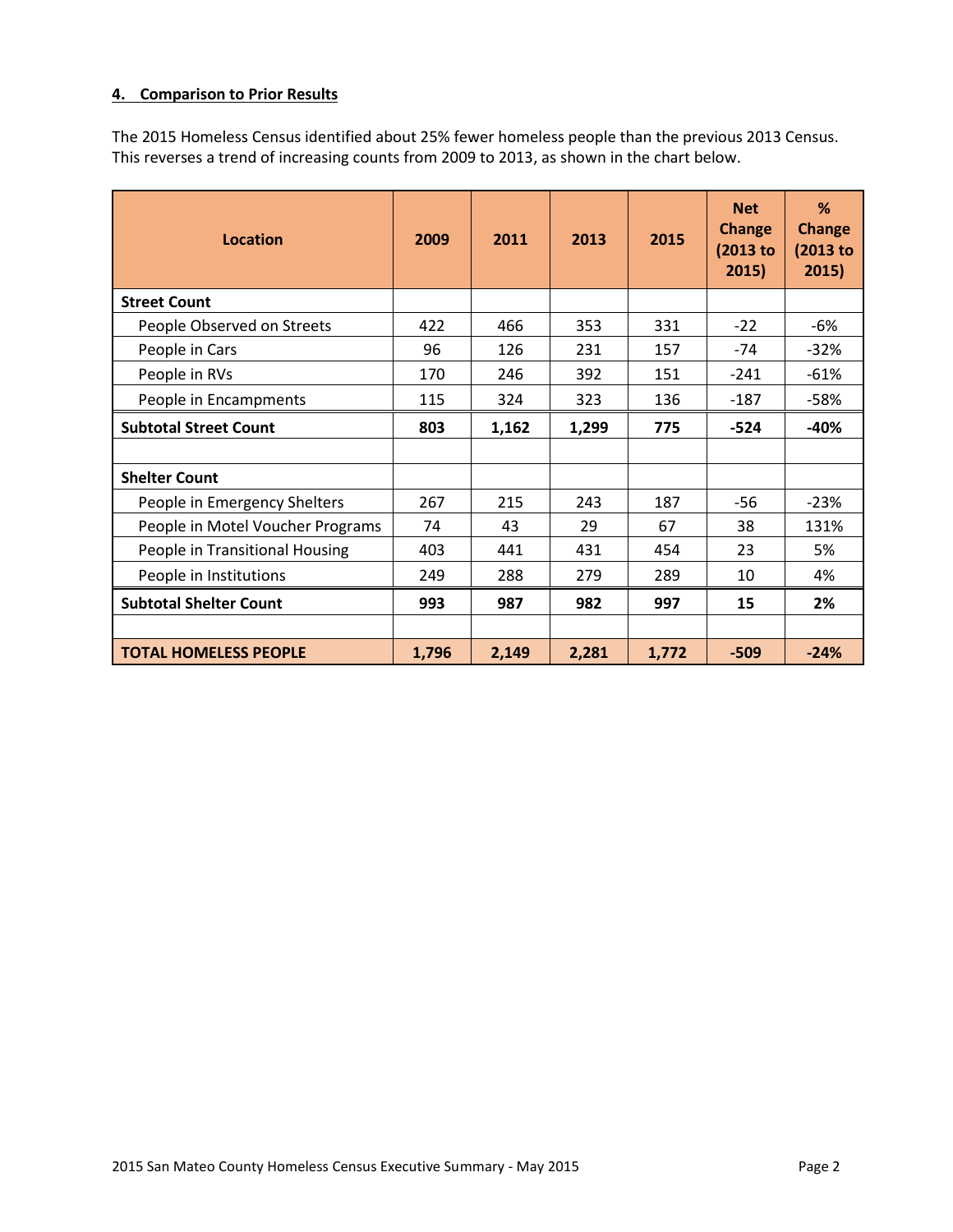### **4. Comparison to Prior Results**

The 2015 Homeless Census identified about 25% fewer homeless people than the previous 2013 Census. This reverses a trend of increasing counts from 2009 to 2013, as shown in the chart below.

| <b>Location</b>                  | 2009  | 2011  | 2013  | 2015  | <b>Net</b><br><b>Change</b><br>(2013 to<br>2015) | %<br><b>Change</b><br>$(2013$ to<br>2015) |
|----------------------------------|-------|-------|-------|-------|--------------------------------------------------|-------------------------------------------|
| <b>Street Count</b>              |       |       |       |       |                                                  |                                           |
| People Observed on Streets       | 422   | 466   | 353   | 331   | $-22$                                            | $-6%$                                     |
| People in Cars                   | 96    | 126   | 231   | 157   | $-74$                                            | $-32%$                                    |
| People in RVs                    | 170   | 246   | 392   | 151   | $-241$                                           | $-61%$                                    |
| People in Encampments            | 115   | 324   | 323   | 136   | $-187$                                           | $-58%$                                    |
| <b>Subtotal Street Count</b>     | 803   | 1,162 | 1,299 | 775   | $-524$                                           | $-40%$                                    |
|                                  |       |       |       |       |                                                  |                                           |
| <b>Shelter Count</b>             |       |       |       |       |                                                  |                                           |
| People in Emergency Shelters     | 267   | 215   | 243   | 187   | -56                                              | $-23%$                                    |
| People in Motel Voucher Programs | 74    | 43    | 29    | 67    | 38                                               | 131%                                      |
| People in Transitional Housing   | 403   | 441   | 431   | 454   | 23                                               | 5%                                        |
| People in Institutions           | 249   | 288   | 279   | 289   | 10                                               | 4%                                        |
| <b>Subtotal Shelter Count</b>    | 993   | 987   | 982   | 997   | 15                                               | 2%                                        |
|                                  |       |       |       |       |                                                  |                                           |
| <b>TOTAL HOMELESS PEOPLE</b>     | 1,796 | 2,149 | 2,281 | 1,772 | $-509$                                           | $-24%$                                    |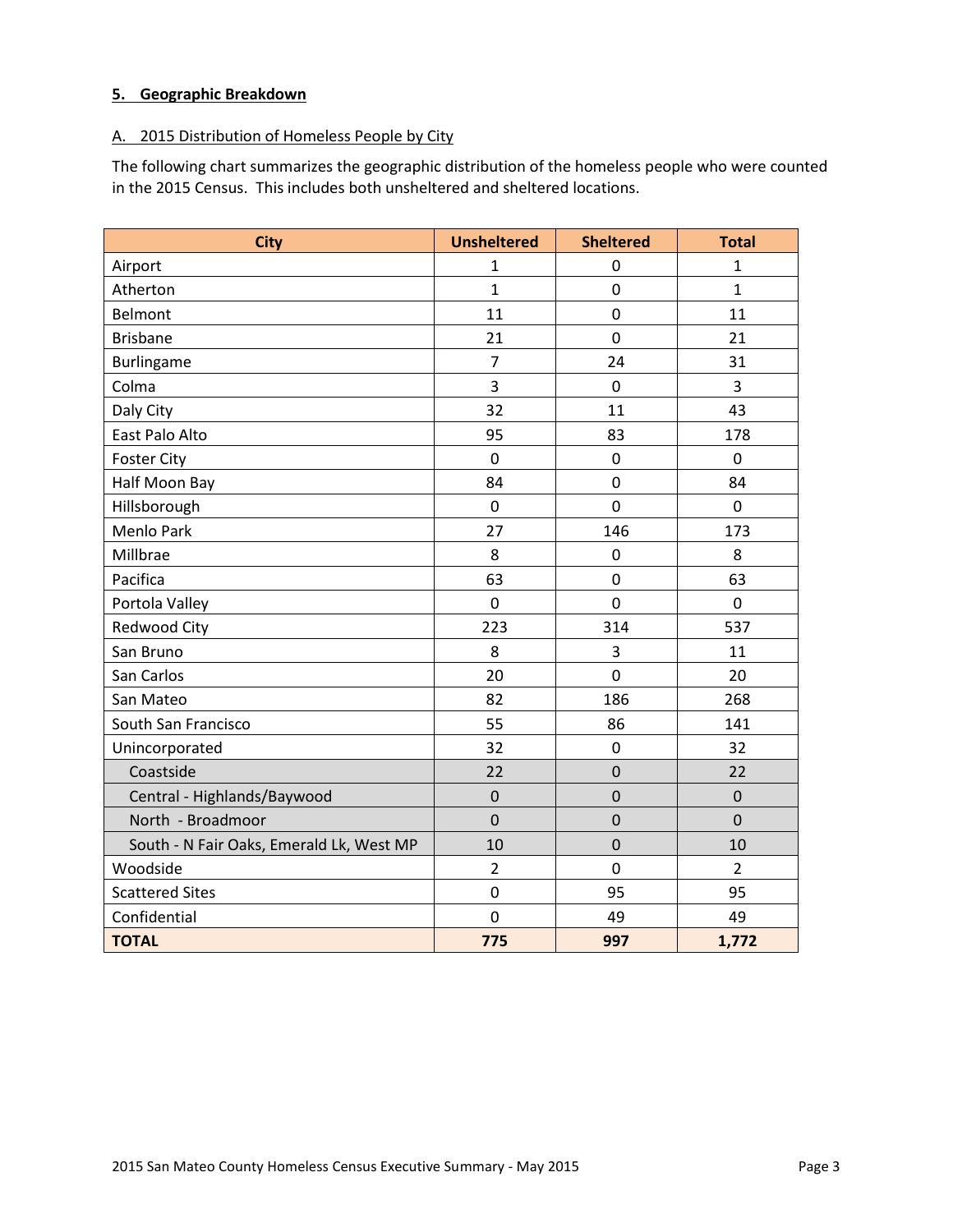# **5. Geographic Breakdown**

## A. 2015 Distribution of Homeless People by City

The following chart summarizes the geographic distribution of the homeless people who were counted in the 2015 Census. This includes both unsheltered and sheltered locations.

| <b>City</b>                              | <b>Unsheltered</b> | <b>Sheltered</b> | <b>Total</b>   |
|------------------------------------------|--------------------|------------------|----------------|
| Airport                                  | $\mathbf{1}$       | 0                | $\mathbf{1}$   |
| Atherton                                 | $\mathbf{1}$       | $\mathbf 0$      | $\mathbf{1}$   |
| <b>Belmont</b>                           | 11                 | $\mathbf 0$      | 11             |
| <b>Brisbane</b>                          | 21                 | $\mathbf 0$      | 21             |
| Burlingame                               | $\overline{7}$     | 24               | 31             |
| Colma                                    | 3                  | $\pmb{0}$        | 3              |
| Daly City                                | 32                 | 11               | 43             |
| East Palo Alto                           | 95                 | 83               | 178            |
| <b>Foster City</b>                       | $\mathbf 0$        | 0                | 0              |
| Half Moon Bay                            | 84                 | $\mathbf 0$      | 84             |
| Hillsborough                             | $\mathbf 0$        | 0                | 0              |
| Menlo Park                               | 27                 | 146              | 173            |
| Millbrae                                 | 8                  | $\boldsymbol{0}$ | 8              |
| Pacifica                                 | 63                 | $\mathbf 0$      | 63             |
| Portola Valley                           | $\mathbf 0$        | $\overline{0}$   | $\overline{0}$ |
| <b>Redwood City</b>                      | 223                | 314              | 537            |
| San Bruno                                | 8                  | 3                | 11             |
| San Carlos                               | 20                 | $\overline{0}$   | 20             |
| San Mateo                                | 82                 | 186              | 268            |
| South San Francisco                      | 55                 | 86               | 141            |
| Unincorporated                           | 32                 | $\mathbf 0$      | 32             |
| Coastside                                | 22                 | $\boldsymbol{0}$ | 22             |
| Central - Highlands/Baywood              | $\mathbf 0$        | $\overline{0}$   | $\overline{0}$ |
| North - Broadmoor                        | $\mathbf 0$        | $\mathbf 0$      | $\overline{0}$ |
| South - N Fair Oaks, Emerald Lk, West MP | 10                 | $\mathbf 0$      | 10             |
| Woodside                                 | $\overline{2}$     | $\overline{0}$   | $\overline{2}$ |
| <b>Scattered Sites</b>                   | $\mathbf 0$        | 95               | 95             |
| Confidential                             | $\mathbf 0$        | 49               | 49             |
| <b>TOTAL</b>                             | 775                | 997              | 1,772          |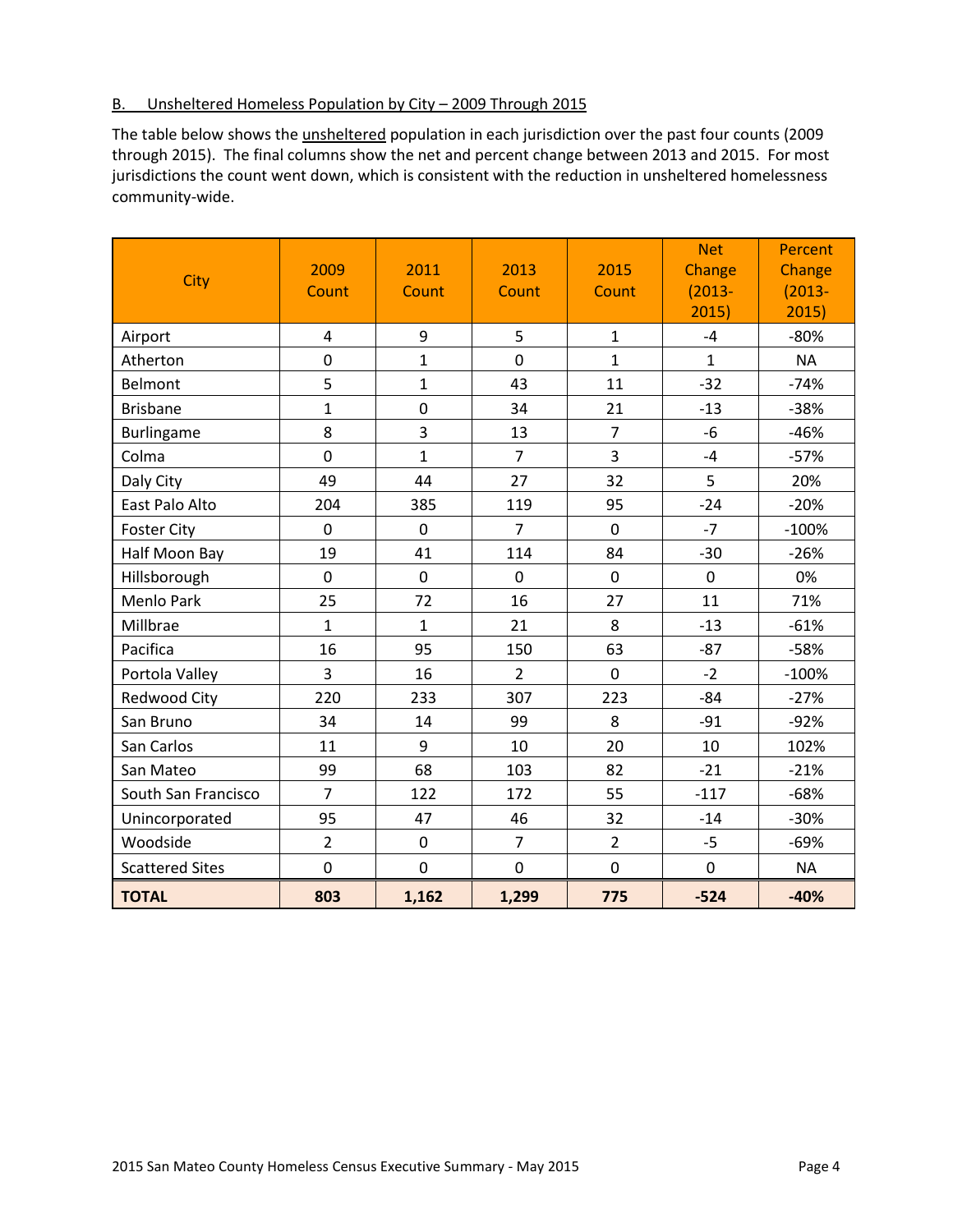### B. Unsheltered Homeless Population by City – 2009 Through 2015

The table below shows the unsheltered population in each jurisdiction over the past four counts (2009 through 2015). The final columns show the net and percent change between 2013 and 2015. For most jurisdictions the count went down, which is consistent with the reduction in unsheltered homelessness community-wide.

| City                   | 2009<br>Count  | 2011<br>Count  | 2013<br>Count  | 2015<br>Count  | <b>Net</b><br>Change<br>$(2013 -$<br>2015) | <b>Percent</b><br>Change<br>$(2013 -$<br>2015) |
|------------------------|----------------|----------------|----------------|----------------|--------------------------------------------|------------------------------------------------|
| Airport                | $\overline{4}$ | 9              | 5              | $\mathbf{1}$   | $-4$                                       | $-80%$                                         |
| Atherton               | $\overline{0}$ | $\mathbf{1}$   | $\overline{0}$ | $\mathbf{1}$   | $\mathbf{1}$                               | <b>NA</b>                                      |
| <b>Belmont</b>         | 5              | $\mathbf{1}$   | 43             | 11             | $-32$                                      | $-74%$                                         |
| <b>Brisbane</b>        | $\mathbf{1}$   | $\mathbf 0$    | 34             | 21             | $-13$                                      | $-38%$                                         |
| Burlingame             | 8              | $\overline{3}$ | 13             | $\overline{7}$ | $-6$                                       | $-46%$                                         |
| Colma                  | $\mathbf 0$    | $\mathbf 1$    | $\overline{7}$ | 3              | $-4$                                       | $-57%$                                         |
| Daly City              | 49             | 44             | 27             | 32             | 5                                          | 20%                                            |
| East Palo Alto         | 204            | 385            | 119            | 95             | $-24$                                      | $-20%$                                         |
| <b>Foster City</b>     | $\overline{0}$ | $\overline{0}$ | $\overline{7}$ | $\overline{0}$ | $-7$                                       | $-100%$                                        |
| Half Moon Bay          | 19             | 41             | 114            | 84             | $-30$                                      | $-26%$                                         |
| Hillsborough           | $\mathbf 0$    | $\mathbf 0$    | $\mathbf 0$    | $\mathbf 0$    | $\mathbf 0$                                | 0%                                             |
| <b>Menlo Park</b>      | 25             | 72             | 16             | 27             | 11                                         | 71%                                            |
| Millbrae               | $\mathbf{1}$   | $\mathbf{1}$   | 21             | 8              | $-13$                                      | $-61%$                                         |
| Pacifica               | 16             | 95             | 150            | 63             | $-87$                                      | $-58%$                                         |
| Portola Valley         | 3              | 16             | $\overline{2}$ | $\mathbf 0$    | $-2$                                       | $-100%$                                        |
| Redwood City           | 220            | 233            | 307            | 223            | $-84$                                      | $-27%$                                         |
| San Bruno              | 34             | 14             | 99             | 8              | $-91$                                      | $-92%$                                         |
| San Carlos             | 11             | 9              | 10             | 20             | 10                                         | 102%                                           |
| San Mateo              | 99             | 68             | 103            | 82             | $-21$                                      | $-21%$                                         |
| South San Francisco    | $\overline{7}$ | 122            | 172            | 55             | $-117$                                     | $-68%$                                         |
| Unincorporated         | 95             | 47             | 46             | 32             | $-14$                                      | $-30%$                                         |
| Woodside               | $\overline{2}$ | $\mathbf 0$    | $\overline{7}$ | $\overline{2}$ | $-5$                                       | $-69%$                                         |
| <b>Scattered Sites</b> | $\mathbf 0$    | $\mathbf 0$    | $\mathbf 0$    | $\mathbf 0$    | $\mathbf 0$                                | <b>NA</b>                                      |
| <b>TOTAL</b>           | 803            | 1,162          | 1,299          | 775            | $-524$                                     | $-40%$                                         |